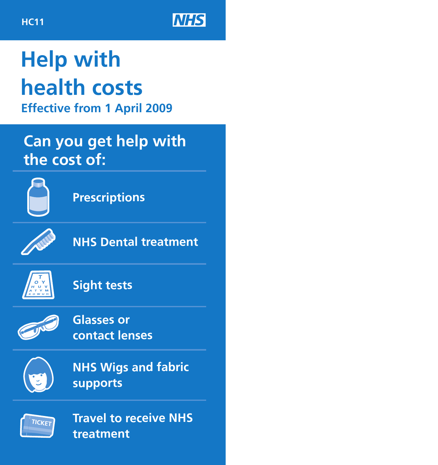# **Help with health costs Effective from 1 April 2009**

**Can you get help with** 

**the cost of:**



**Prescriptions**



**NHS Dental treatment**



**Sight tests**



**Glasses or contact lenses**



**NHS Wigs and fabric supports**



**Travel to receive NHS treatment**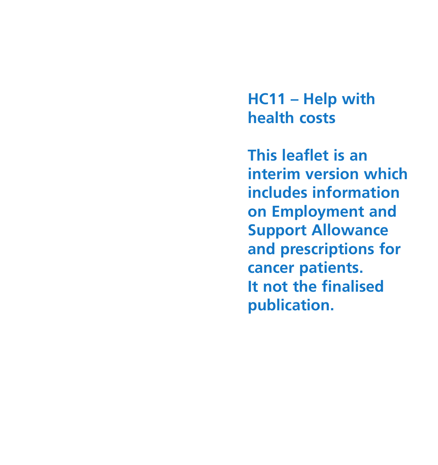**HC11 – Help with health costs**

**This leaflet is an interim version which includes information on Employment and Support Allowance and prescriptions for cancer patients. It not the finalised publication.**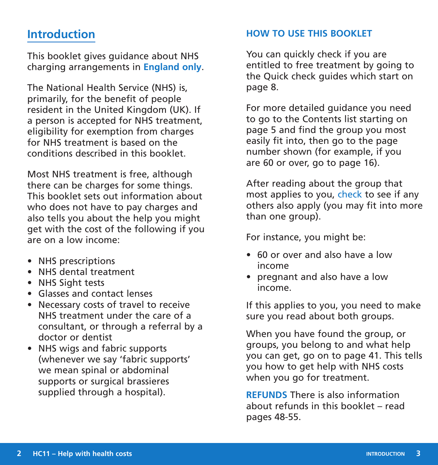# **Introduction**

This booklet gives guidance about NHS charging arrangements in **England only**.

The National Health Service (NHS) is, primarily, for the benefit of people resident in the United Kingdom (UK). If a person is accepted for NHS treatment, eligibility for exemption from charges for NHS treatment is based on the conditions described in this booklet.

Most NHS treatment is free, although there can be charges for some things. This booklet sets out information about who does not have to pay charges and also tells you about the help you might get with the cost of the following if you are on a low income:

- NHS prescriptions
- NHS dental treatment
- NHS Sight tests
- Glasses and contact lenses
- Necessary costs of travel to receive NHS treatment under the care of a consultant, or through a referral by a doctor or dentist
- NHS wigs and fabric supports (whenever we say 'fabric supports' we mean spinal or abdominal supports or surgical brassieres supplied through a hospital).

#### **HOW TO USE THIS BOOKLET**

You can quickly check if you are entitled to free treatment by going to the Quick check guides which start on page 8.

For more detailed guidance you need to go to the Contents list starting on page 5 and find the group you most easily fit into, then go to the page number shown (for example, if you are 60 or over, go to page 16).

After reading about the group that most applies to you, check to see if any others also apply (you may fit into more than one group).

For instance, you might be:

- 60 or over and also have a low income
- pregnant and also have a low income.

If this applies to you, you need to make sure you read about both groups.

When you have found the group, or groups, you belong to and what help you can get, go on to page 41. This tells you how to get help with NHS costs when you go for treatment.

**REFUNDS** There is also information about refunds in this booklet – read pages 48-55.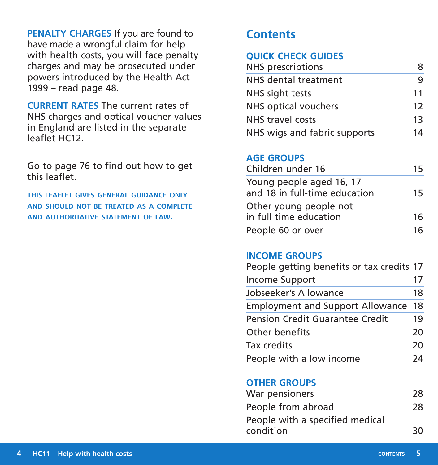**PENALTY CHARGES** If you are found to have made a wrongful claim for help with health costs, you will face penalty charges and may be prosecuted under powers introduced by the Health Act 1999 – read page 48.

**CURRENT RATES** The current rates of NHS charges and optical voucher values in England are listed in the separate leaflet HC12.

Go to page 76 to find out how to get this leaflet.

**THIS LEAFLET GIVES GENERAL GUIDANCE ONLY AND SHOULD NOT BE TREATED AS A COMPLETE AND AUTHORITATIVE STATEMENT OF LAW.**

# **Contents**

# **QUICK CHECK GUIDES**

| <b>NHS</b> prescriptions     |    |
|------------------------------|----|
| NHS dental treatment         |    |
| NHS sight tests              | 11 |
| NHS optical vouchers         | 12 |
| <b>NHS</b> travel costs      | 13 |
| NHS wigs and fabric supports | 14 |

### **AGE GROUPS**

| Children under 16                                         |    |
|-----------------------------------------------------------|----|
| Young people aged 16, 17<br>and 18 in full-time education | 15 |
| Other young people not<br>in full time education          | 16 |
| People 60 or over                                         | 16 |

### **INCOME GROUPS**

| People getting benefits or tax credits 17 |    |
|-------------------------------------------|----|
| Income Support                            | 17 |
| Jobseeker's Allowance                     | 18 |
| <b>Employment and Support Allowance</b>   | 18 |
| <b>Pension Credit Guarantee Credit</b>    | 19 |
| Other benefits                            | 20 |
| Tax credits                               | 20 |
| People with a low income                  | 24 |

# **OTHER GROUPS**

| War pensioners                  | 28. |
|---------------------------------|-----|
| People from abroad              | 28  |
| People with a specified medical |     |
| condition                       | 30  |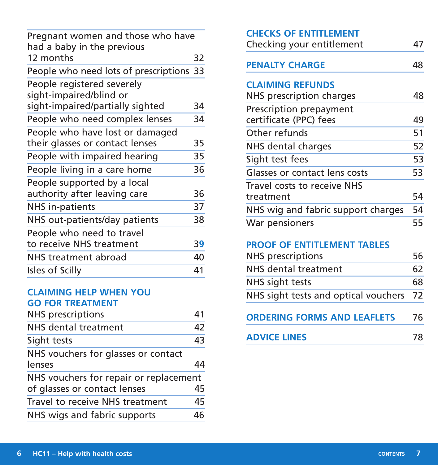| Pregnant women and those who have                                      |    |
|------------------------------------------------------------------------|----|
| had a baby in the previous                                             |    |
| 12 months                                                              | 32 |
| People who need lots of prescriptions                                  | 33 |
| People registered severely                                             |    |
| sight-impaired/blind or                                                |    |
| sight-impaired/partially sighted                                       | 34 |
| People who need complex lenses                                         | 34 |
| People who have lost or damaged                                        |    |
| their glasses or contact lenses                                        | 35 |
| People with impaired hearing                                           | 35 |
| People living in a care home                                           | 36 |
| People supported by a local                                            |    |
| authority after leaving care                                           | 36 |
| NHS in-patients                                                        | 37 |
| NHS out-patients/day patients                                          | 38 |
| People who need to travel                                              |    |
| to receive NHS treatment                                               | 39 |
| NHS treatment abroad                                                   | 40 |
| Isles of Scilly                                                        | 41 |
|                                                                        |    |
| <b>CLAIMING HELP WHEN YOU</b><br><b>GO FOR TREATMENT</b>               |    |
| <b>NHS</b> prescriptions                                               | 41 |
| <b>NHS dental treatment</b>                                            | 42 |
| Sight tests                                                            | 43 |
|                                                                        |    |
| NHS vouchers for glasses or contact<br>lenses                          | 44 |
|                                                                        |    |
| NHS vouchers for repair or replacement<br>of glasses or contact lenses | 45 |
| Travel to receive NHS treatment                                        | 45 |
|                                                                        | 46 |
| NHS wigs and fabric supports                                           |    |

| <b>CHECKS OF ENTITLEMENT</b>                             |    |
|----------------------------------------------------------|----|
| Checking your entitlement                                | 47 |
| <b>PENALTY CHARGE</b>                                    | 48 |
| <b>CLAIMING REFUNDS</b>                                  |    |
| NHS prescription charges                                 | 48 |
| <b>Prescription prepayment</b><br>certificate (PPC) fees | 49 |
| Other refunds                                            | 51 |
| NHS dental charges                                       | 52 |
| Sight test fees                                          | 53 |
| Glasses or contact lens costs                            | 53 |
| <b>Travel costs to receive NHS</b>                       |    |
| treatment                                                | 54 |
| NHS wig and fabric support charges                       | 54 |
| War pensioners                                           | 55 |

### **PROOF OF ENTITLEMENT TABLES**

| <b>NHS</b> prescriptions                |    |
|-----------------------------------------|----|
| NHS dental treatment                    | 62 |
| NHS sight tests                         | 68 |
| NHS sight tests and optical vouchers 72 |    |
|                                         |    |

| <b>ORDERING FORMS AND LEAFLETS</b> | 76 |
|------------------------------------|----|
| <b>ADVICE LINES</b>                |    |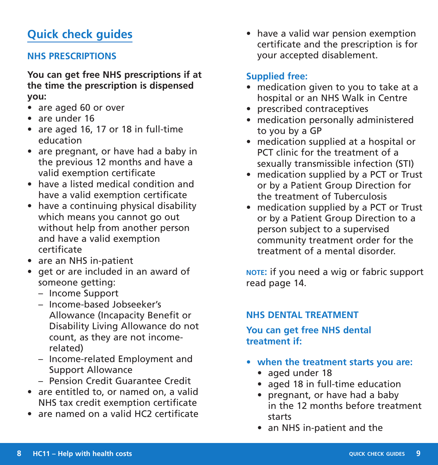# **Quick check guides**

# **NHS PRESCRIPTIONS**

**You can get free NHS prescriptions if at the time the prescription is dispensed you:**

- are aged 60 or over
- are under 16
- are aged 16, 17 or 18 in full-time education
- are pregnant, or have had a baby in the previous 12 months and have a valid exemption certificate
- have a listed medical condition and have a valid exemption certificate
- have a continuing physical disability which means you cannot go out without help from another person and have a valid exemption certificate
- are an NHS in-patient
- get or are included in an award of someone getting:
	- Income Support
	- Income-based Jobseeker's Allowance (Incapacity Benefit or Disability Living Allowance do not count, as they are not incomerelated)
	- Income-related Employment and Support Allowance
	- Pension Credit Guarantee Credit
- are entitled to, or named on, a valid NHS tax credit exemption certificate
- are named on a valid HC2 certificate

• have a valid war pension exemption certificate and the prescription is for your accepted disablement.

#### **Supplied free:**

- medication given to you to take at a hospital or an NHS Walk in Centre
- prescribed contraceptives
- medication personally administered to you by a GP
- medication supplied at a hospital or PCT clinic for the treatment of a sexually transmissible infection (STI)
- medication supplied by a PCT or Trust or by a Patient Group Direction for the treatment of Tuberculosis
- medication supplied by a PCT or Trust or by a Patient Group Direction to a person subject to a supervised community treatment order for the treatment of a mental disorder.

**NOTE:** if you need a wig or fabric support read page 14.

### **NHS DENTAL TREATMENT**

# **You can get free NHS dental treatment if:**

- **• when the treatment starts you are:** 
	- aged under 18
	- aged 18 in full-time education
	- pregnant, or have had a baby in the 12 months before treatment starts
	- an NHS in-patient and the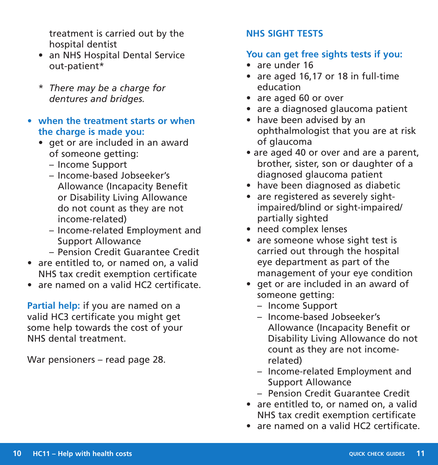treatment is carried out by the hospital dentist

- an NHS Hospital Dental Service out-patient\*
- \* *There may be a charge for dentures and bridges.*
- **• when the treatment starts or when the charge is made you:**
	- get or are included in an award of someone getting:
		- Income Support
		- Income-based Jobseeker's Allowance (Incapacity Benefit or Disability Living Allowance do not count as they are not income-related)
		- Income-related Employment and Support Allowance
		- Pension Credit Guarantee Credit
- are entitled to, or named on, a valid NHS tax credit exemption certificate
- are named on a valid HC2 certificate

**Partial help:** if you are named on a valid HC3 certificate you might get some help towards the cost of your NHS dental treatment.

War pensioners – read page 28.

# **NHS SIGHT TESTS**

# **You can get free sights tests if you:**

- are under 16
- are aged 16,17 or 18 in full-time education
- are aged 60 or over
- are a diagnosed glaucoma patient
- have been advised by an ophthalmologist that you are at risk of glaucoma
- are aged 40 or over and are a parent, brother, sister, son or daughter of a diagnosed glaucoma patient
- have been diagnosed as diabetic
- are registered as severely sightimpaired/blind or sight-impaired/ partially sighted
- need complex lenses
- are someone whose sight test is carried out through the hospital eye department as part of the management of your eye condition
- get or are included in an award of someone getting:
	- Income Support
	- Income-based Jobseeker's Allowance (Incapacity Benefit or Disability Living Allowance do not count as they are not incomerelated)
	- Income-related Employment and Support Allowance
	- Pension Credit Guarantee Credit
- are entitled to, or named on, a valid NHS tax credit exemption certificate
- are named on a valid HC2 certificate.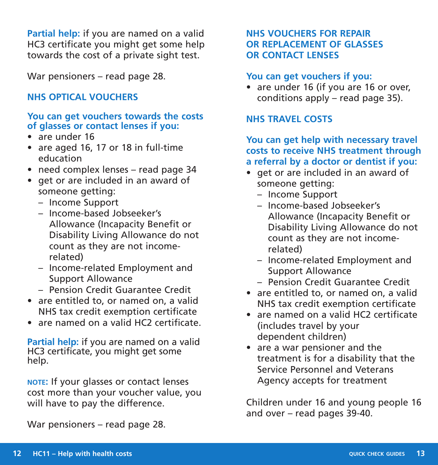**Partial help:** if you are named on a valid HC3 certificate you might get some help towards the cost of a private sight test.

War pensioners – read page 28.

# **NHS OPTICAL VOUCHERS**

#### **You can get vouchers towards the costs of glasses or contact lenses if you:**

- are under 16
- are aged 16, 17 or 18 in full-time education
- need complex lenses read page 34
- get or are included in an award of someone getting:
	- Income Support
	- Income-based Jobseeker's Allowance (Incapacity Benefit or Disability Living Allowance do not count as they are not incomerelated)
	- Income-related Employment and Support Allowance
	- Pension Credit Guarantee Credit
- are entitled to, or named on, a valid NHS tax credit exemption certificate
- are named on a valid HC2 certificate

**Partial help:** if you are named on a valid HC3 certificate, you might get some help.

**NOTE:** If your glasses or contact lenses cost more than your voucher value, you will have to pay the difference.

**NHS VOUCHERS FOR REPAIR OR REPLACEMENT OF GLASSES OR CONTACT LENSES**

#### **You can get vouchers if you:**

• are under 16 (if you are 16 or over, conditions apply – read page 35).

# **NHS TRAVEL COSTS**

#### **You can get help with necessary travel costs to receive NHS treatment through a referral by a doctor or dentist if you:**

- get or are included in an award of someone getting:
	- Income Support
	- Income-based Jobseeker's Allowance (Incapacity Benefit or Disability Living Allowance do not count as they are not incomerelated)
	- Income-related Employment and Support Allowance
	- Pension Credit Guarantee Credit
- are entitled to, or named on, a valid NHS tax credit exemption certificate
- are named on a valid HC2 certificate (includes travel by your dependent children)
- are a war pensioner and the treatment is for a disability that the Service Personnel and Veterans Agency accepts for treatment

Children under 16 and young people 16 and over – read pages 39-40.

War pensioners – read page 28.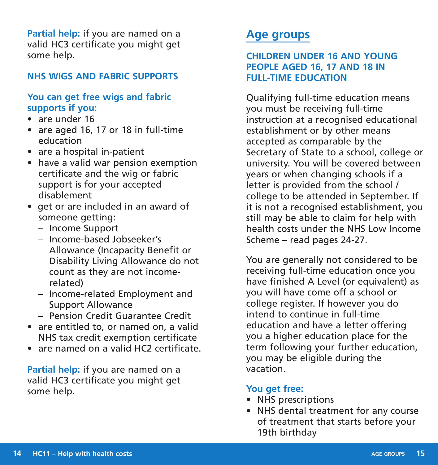**Partial help:** if you are named on a valid HC3 certificate you might get some help.

# **NHS WIGS AND FABRIC SUPPORTS**

# **You can get free wigs and fabric supports if you:**

- are under 16
- are aged 16, 17 or 18 in full-time education
- are a hospital in-patient
- have a valid war pension exemption certificate and the wig or fabric support is for your accepted disablement
- get or are included in an award of someone getting:
	- Income Support
	- Income-based Jobseeker's Allowance (Incapacity Benefit or Disability Living Allowance do not count as they are not incomerelated)
	- Income-related Employment and Support Allowance
	- Pension Credit Guarantee Credit
- are entitled to, or named on, a valid NHS tax credit exemption certificate
- are named on a valid HC2 certificate.

**Partial help:** if you are named on a valid HC3 certificate you might get some help.

# **Age groups**

# **CHILDREN UNDER 16 AND YOUNG PEOPLE AGED 16, 17 AND 18 IN FULL-TIME EDUCATION**

Qualifying full-time education means you must be receiving full-time instruction at a recognised educational establishment or by other means accepted as comparable by the Secretary of State to a school, college or university. You will be covered between years or when changing schools if a letter is provided from the school / college to be attended in September. If it is not a recognised establishment, you still may be able to claim for help with health costs under the NHS Low Income Scheme – read pages 24-27.

You are generally not considered to be receiving full-time education once you have finished A Level (or equivalent) as you will have come off a school or college register. If however you do intend to continue in full-time education and have a letter offering you a higher education place for the term following your further education, you may be eligible during the vacation.

# **You get free:**

- NHS prescriptions
- NHS dental treatment for any course of treatment that starts before your 19th birthday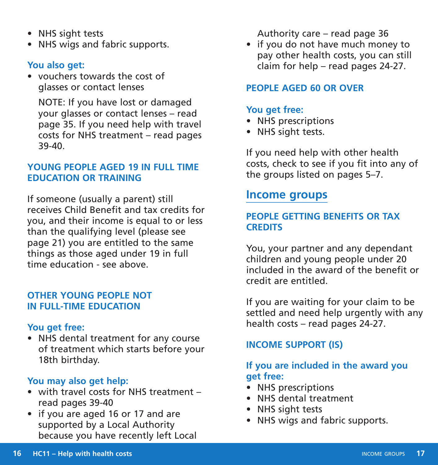- NHS sight tests
- NHS wigs and fabric supports.

#### **You also get:**

• vouchers towards the cost of glasses or contact lenses

NOTE: If you have lost or damaged your glasses or contact lenses – read page 35. If you need help with travel costs for NHS treatment – read pages 39-40.

#### **YOUNG PEOPLE AGED 19 IN FULL TIME EDUCATION OR TRAINING**

If someone (usually a parent) still receives Child Benefit and tax credits for you, and their income is equal to or less than the qualifying level (please see page 21) you are entitled to the same things as those aged under 19 in full time education - see above.

# **OTHER YOUNG PEOPLE NOT IN FULL-TIME EDUCATION**

### **You get free:**

• NHS dental treatment for any course of treatment which starts before your 18th birthday.

### **You may also get help:**

- with travel costs for NHS treatment read pages 39-40
- if you are aged 16 or 17 and are supported by a Local Authority because you have recently left Local

Authority care – read page 36

• if you do not have much money to pay other health costs, you can still claim for help – read pages 24-27.

# **PEOPLE AGED 60 OR OVER**

# **You get free:**

- NHS prescriptions
- NHS sight tests.

If you need help with other health costs, check to see if you fit into any of the groups listed on pages 5–7.

# **Income groups**

# **PEOPLE GETTING BENEFITS OR TAX CREDITS**

You, your partner and any dependant children and young people under 20 included in the award of the benefit or credit are entitled.

If you are waiting for your claim to be settled and need help urgently with any health costs – read pages 24-27.

# **INCOME SUPPORT (IS)**

# **If you are included in the award you get free:**

- NHS prescriptions
- NHS dental treatment
- NHS sight tests
- NHS wigs and fabric supports.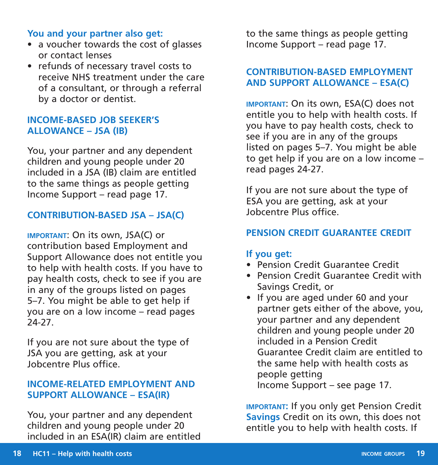#### **You and your partner also get:**

- a voucher towards the cost of glasses or contact lenses
- refunds of necessary travel costs to receive NHS treatment under the care of a consultant, or through a referral by a doctor or dentist.

#### **INCOME-BASED JOB SEEKER'S ALLOWANCE – JSA (IB)**

You, your partner and any dependent children and young people under 20 included in a JSA (IB) claim are entitled to the same things as people getting Income Support – read page 17.

# **CONTRIBUTION-BASED JSA – JSA(C)**

**IMPORTANT**: On its own, JSA(C) or contribution based Employment and Support Allowance does not entitle you to help with health costs. If you have to pay health costs, check to see if you are in any of the groups listed on pages 5–7. You might be able to get help if you are on a low income – read pages 24-27.

If you are not sure about the type of JSA you are getting, ask at your Jobcentre Plus office.

#### **INCOME-RELATED EMPLOYMENT AND SUPPORT ALLOWANCE – ESA(IR)**

You, your partner and any dependent children and young people under 20 included in an ESA(IR) claim are entitled to the same things as people getting Income Support – read page 17.

# **CONTRIBUTION-BASED EMPLOYMENT AND SUPPORT ALLOWANCE – ESA(C)**

**IMPORTANT**: On its own, ESA(C) does not entitle you to help with health costs. If you have to pay health costs, check to see if you are in any of the groups listed on pages 5–7. You might be able to get help if you are on a low income – read pages 24-27.

If you are not sure about the type of ESA you are getting, ask at your Jobcentre Plus office.

### **PENSION CREDIT GUARANTEE CREDIT**

#### **If you get:**

- Pension Credit Guarantee Credit
- Pension Credit Guarantee Credit with Savings Credit, or
- If you are aged under 60 and your partner gets either of the above, you, your partner and any dependent children and young people under 20 included in a Pension Credit Guarantee Credit claim are entitled to the same help with health costs as people getting Income Support – see page 17.

**IMPORTANT:** If you only get Pension Credit **Savings** Credit on its own, this does not entitle you to help with health costs. If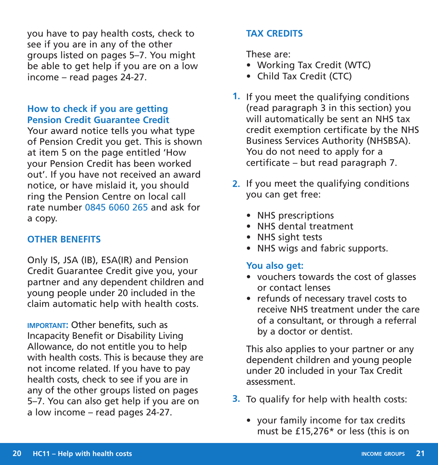you have to pay health costs, check to see if you are in any of the other groups listed on pages 5–7. You might be able to get help if you are on a low income – read pages 24-27.

#### **How to check if you are getting Pension Credit Guarantee Credit**

Your award notice tells you what type of Pension Credit you get. This is shown at item 5 on the page entitled 'How your Pension Credit has been worked out'. If you have not received an award notice, or have mislaid it, you should ring the Pension Centre on local call rate number 0845 6060 265 and ask for a copy.

#### **OTHER BENEFITS**

Only IS, JSA (IB), ESA(IR) and Pension Credit Guarantee Credit give you, your partner and any dependent children and young people under 20 included in the claim automatic help with health costs.

**IMPORTANT:** Other benefits, such as Incapacity Benefit or Disability Living Allowance, do not entitle you to help with health costs. This is because they are not income related. If you have to pay health costs, check to see if you are in any of the other groups listed on pages 5–7. You can also get help if you are on a low income – read pages 24-27.

### **TAX CREDITS**

These are:

- Working Tax Credit (WTC)
- Child Tax Credit (CTC)
- **1.** If you meet the qualifying conditions (read paragraph 3 in this section) you will automatically be sent an NHS tax credit exemption certificate by the NHS Business Services Authority (NHSBSA). You do not need to apply for a certificate – but read paragraph 7.
- **2.** If you meet the qualifying conditions you can get free:
	- NHS prescriptions
	- NHS dental treatment
	- NHS sight tests
	- NHS wigs and fabric supports.

### **You also get:**

- vouchers towards the cost of glasses or contact lenses
- refunds of necessary travel costs to receive NHS treatment under the care of a consultant, or through a referral by a doctor or dentist.

This also applies to your partner or any dependent children and young people under 20 included in your Tax Credit assessment.

- **3.** To qualify for help with health costs:
	- your family income for tax credits must be £15,276\* or less (this is on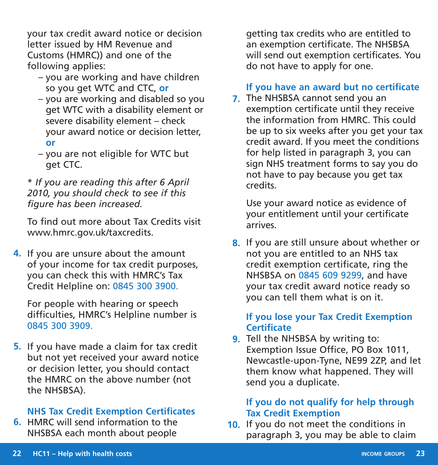your tax credit award notice or decision letter issued by HM Revenue and Customs (HMRC)) and one of the following applies:

- you are working and have children so you get WTC and CTC, **or**
- you are working and disabled so you get WTC with a disability element or severe disability element – check your award notice or decision letter, **or**
- you are not eligible for WTC but get CTC.

\* *If you are reading this after 6 April 2010, you should check to see if this figure has been increased.*

To find out more about Tax Credits visit www.hmrc.gov.uk/taxcredits.

**4.** If you are unsure about the amount of your income for tax credit purposes, you can check this with HMRC's Tax Credit Helpline on: 0845 300 3900.

For people with hearing or speech difficulties, HMRC's Helpline number is 0845 300 3909.

**5.** If you have made a claim for tax credit but not yet received your award notice or decision letter, you should contact the HMRC on the above number (not the NHSBSA).

# **NHS Tax Credit Exemption Certificates**

**6.** HMRC will send information to the NHSBSA each month about people

getting tax credits who are entitled to an exemption certificate. The NHSBSA will send out exemption certificates. You do not have to apply for one.

# **If you have an award but no certificate**

**7.** The NHSBSA cannot send you an exemption certificate until they receive the information from HMRC. This could be up to six weeks after you get your tax credit award. If you meet the conditions for help listed in paragraph 3, you can sign NHS treatment forms to say you do not have to pay because you get tax credits.

Use your award notice as evidence of your entitlement until your certificate arrives.

**8.** If you are still unsure about whether or not you are entitled to an NHS tax credit exemption certificate, ring the NHSBSA on 0845 609 9299, and have your tax credit award notice ready so you can tell them what is on it.

# **If you lose your Tax Credit Exemption Certificate**

9. Tell the NHSBSA by writing to: Exemption Issue Office, PO Box 1011, Newcastle-upon-Tyne, NE99 2ZP, and let them know what happened. They will send you a duplicate.

# **If you do not qualify for help through Tax Credit Exemption**

**10.** If you do not meet the conditions in paragraph 3, you may be able to claim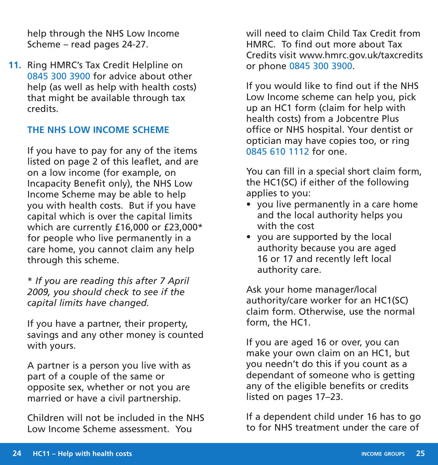help through the NHS Low Income Scheme – read pages 24-27.

**11.** Ring HMRC's Tax Credit Helpline on 0845 300 3900 for advice about other help (as well as help with health costs) that might be available through tax credits.

# **THE NHS LOW INCOME SCHEME**

If you have to pay for any of the items listed on page 2 of this leaflet, and are on a low income (for example, on Incapacity Benefit only), the NHS Low Income Scheme may be able to help you with health costs. But if you have capital which is over the capital limits which are currently £16,000 or £23,000\* for people who live permanently in a care home, you cannot claim any help through this scheme.

\* *If you are reading this after 7 April 2009, you should check to see if the capital limits have changed.*

If you have a partner, their property, savings and any other money is counted with yours.

A partner is a person you live with as part of a couple of the same or opposite sex, whether or not you are married or have a civil partnership.

Children will not be included in the NHS Low Income Scheme assessment. You

will need to claim Child Tax Credit from HMRC. To find out more about Tax Credits visit www.hmrc.gov.uk/taxcredits or phone 0845 300 3900.

If you would like to find out if the NHS Low Income scheme can help you, pick up an HC1 form (claim for help with health costs) from a Jobcentre Plus office or NHS hospital. Your dentist or optician may have copies too, or ring 0845 610 1112 for one.

You can fill in a special short claim form, the HC1(SC) if either of the following applies to you:

- you live permanently in a care home and the local authority helps you with the cost
- you are supported by the local authority because you are aged 16 or 17 and recently left local authority care.

Ask your home manager/local authority/care worker for an HC1(SC) claim form. Otherwise, use the normal form, the HC1.

If you are aged 16 or over, you can make your own claim on an HC1, but you needn't do this if you count as a dependant of someone who is getting any of the eligible benefits or credits listed on pages 17–23.

If a dependent child under 16 has to go to for NHS treatment under the care of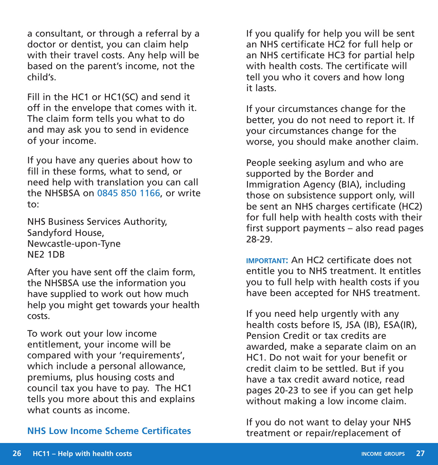a consultant, or through a referral by a doctor or dentist, you can claim help with their travel costs. Any help will be based on the parent's income, not the child's.

Fill in the HC1 or HC1(SC) and send it off in the envelope that comes with it. The claim form tells you what to do and may ask you to send in evidence of your income.

If you have any queries about how to fill in these forms, what to send, or need help with translation you can call the NHSBSA on 0845 850 1166, or write to:

NHS Business Services Authority, Sandyford House, Newcastle-upon-Tyne NE2 1DB

After you have sent off the claim form, the NHSBSA use the information you have supplied to work out how much help you might get towards your health costs.

To work out your low income entitlement, your income will be compared with your 'requirements', which include a personal allowance, premiums, plus housing costs and council tax you have to pay. The HC1 tells you more about this and explains what counts as income.

# **NHS Low Income Scheme Certificates**

If you qualify for help you will be sent an NHS certificate HC2 for full help or an NHS certificate HC3 for partial help with health costs. The certificate will tell you who it covers and how long it lasts.

If your circumstances change for the better, you do not need to report it. If your circumstances change for the worse, you should make another claim.

People seeking asylum and who are supported by the Border and Immigration Agency (BIA), including those on subsistence support only, will be sent an NHS charges certificate (HC2) for full help with health costs with their first support payments – also read pages 28-29.

**IMPORTANT:** An HC2 certificate does not entitle you to NHS treatment. It entitles you to full help with health costs if you have been accepted for NHS treatment.

If you need help urgently with any health costs before IS, JSA (IB), ESA(IR), Pension Credit or tax credits are awarded, make a separate claim on an HC1. Do not wait for your benefit or credit claim to be settled. But if you have a tax credit award notice, read pages 20-23 to see if you can get help without making a low income claim.

If you do not want to delay your NHS treatment or repair/replacement of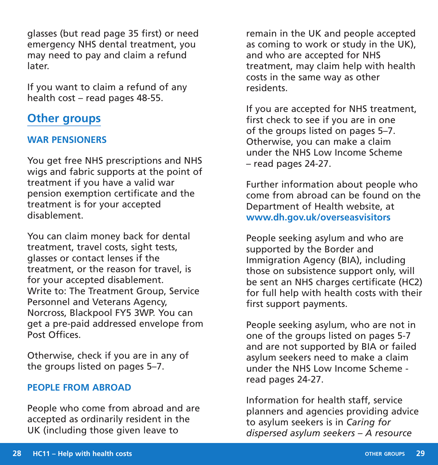glasses (but read page 35 first) or need emergency NHS dental treatment, you may need to pay and claim a refund later.

If you want to claim a refund of any health cost – read pages 48-55.

# **Other groups**

# **WAR PENSIONERS**

You get free NHS prescriptions and NHS wigs and fabric supports at the point of treatment if you have a valid war pension exemption certificate and the treatment is for your accepted disablement.

You can claim money back for dental treatment, travel costs, sight tests, glasses or contact lenses if the treatment, or the reason for travel, is for your accepted disablement. Write to: The Treatment Group, Service Personnel and Veterans Agency, Norcross, Blackpool FY5 3WP. You can get a pre-paid addressed envelope from Post Offices.

Otherwise, check if you are in any of the groups listed on pages 5–7.

# **PEOPLE FROM ABROAD**

People who come from abroad and are accepted as ordinarily resident in the UK (including those given leave to

remain in the UK and people accepted as coming to work or study in the UK), and who are accepted for NHS treatment, may claim help with health costs in the same way as other residents.

If you are accepted for NHS treatment, first check to see if you are in one of the groups listed on pages 5–7. Otherwise, you can make a claim under the NHS Low Income Scheme – read pages 24-27.

Further information about people who come from abroad can be found on the Department of Health website, at **www.dh.gov.uk/overseasvisitors**

People seeking asylum and who are supported by the Border and Immigration Agency (BIA), including those on subsistence support only, will be sent an NHS charges certificate (HC2) for full help with health costs with their first support payments.

People seeking asylum, who are not in one of the groups listed on pages 5-7 and are not supported by BIA or failed asylum seekers need to make a claim under the NHS Low Income Scheme read pages 24-27.

Information for health staff, service planners and agencies providing advice to asylum seekers is in *Caring for dispersed asylum seekers – A resource*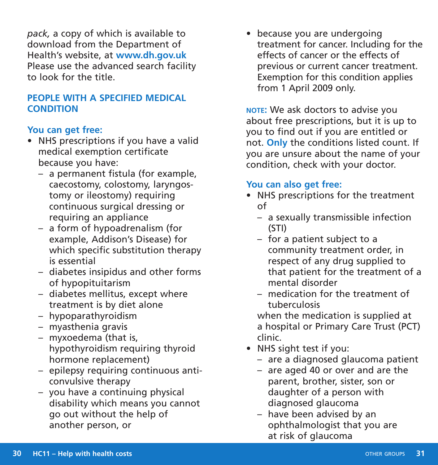*pack,* a copy of which is available to download from the Department of Health's website, at **www.dh.gov.uk** Please use the advanced search facility to look for the title.

#### **PEOPLE WITH A SPECIFIED MEDICAL CONDITION**

#### **You can get free:**

- NHS prescriptions if you have a valid medical exemption certificate because you have:
	- a permanent fistula (for example, caecostomy, colostomy, laryngostomy or ileostomy) requiring continuous surgical dressing or requiring an appliance
	- a form of hypoadrenalism (for example, Addison's Disease) for which specific substitution therapy is essential
	- diabetes insipidus and other forms of hypopituitarism
	- diabetes mellitus, except where treatment is by diet alone
	- hypoparathyroidism
	- myasthenia gravis
	- myxoedema (that is, hypothyroidism requiring thyroid hormone replacement)
	- epilepsy requiring continuous anticonvulsive therapy
	- you have a continuing physical disability which means you cannot go out without the help of another person, or

• because you are undergoing treatment for cancer. Including for the effects of cancer or the effects of previous or current cancer treatment. Exemption for this condition applies from 1 April 2009 only.

**NOTE:** We ask doctors to advise you about free prescriptions, but it is up to you to find out if you are entitled or not. **Only** the conditions listed count. If you are unsure about the name of your condition, check with your doctor.

### **You can also get free:**

- NHS prescriptions for the treatment of
	- a sexually transmissible infection (STI)
	- for a patient subject to a community treatment order, in respect of any drug supplied to that patient for the treatment of a mental disorder
	- medication for the treatment of tuberculosis

when the medication is supplied at a hospital or Primary Care Trust (PCT) clinic.

- NHS sight test if you:
	- are a diagnosed glaucoma patient
	- are aged 40 or over and are the parent, brother, sister, son or daughter of a person with diagnosed glaucoma
	- have been advised by an ophthalmologist that you are at risk of glaucoma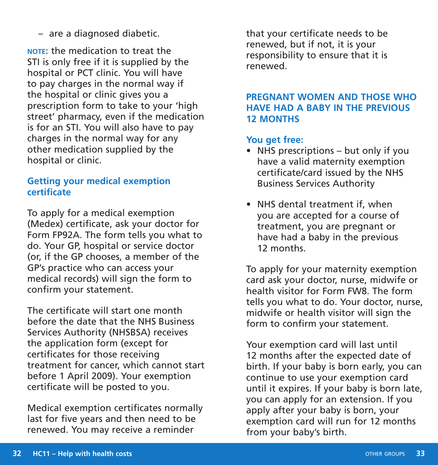# – are a diagnosed diabetic.

**NOTE:** the medication to treat the STI is only free if it is supplied by the hospital or PCT clinic. You will have to pay charges in the normal way if the hospital or clinic gives you a prescription form to take to your 'high street' pharmacy, even if the medication is for an STI. You will also have to pay charges in the normal way for any other medication supplied by the hospital or clinic.

# **Getting your medical exemption certificate**

To apply for a medical exemption (Medex) certificate, ask your doctor for Form FP92A. The form tells you what to do. Your GP, hospital or service doctor (or, if the GP chooses, a member of the GP's practice who can access your medical records) will sign the form to confirm your statement.

The certificate will start one month before the date that the NHS Business Services Authority (NHSBSA) receives the application form (except for certificates for those receiving treatment for cancer, which cannot start before 1 April 2009). Your exemption certificate will be posted to you.

Medical exemption certificates normally last for five years and then need to be renewed. You may receive a reminder

that your certificate needs to be renewed, but if not, it is your responsibility to ensure that it is renewed.

# **PREGNANT WOMEN AND THOSE WHO HAVE HAD A BABY IN THE PREVIOUS 12 MONTHS**

# **You get free:**

- NHS prescriptions but only if you have a valid maternity exemption certificate/card issued by the NHS Business Services Authority
- NHS dental treatment if, when you are accepted for a course of treatment, you are pregnant or have had a baby in the previous 12 months.

To apply for your maternity exemption card ask your doctor, nurse, midwife or health visitor for Form FW8. The form tells you what to do. Your doctor, nurse, midwife or health visitor will sign the form to confirm your statement.

Your exemption card will last until 12 months after the expected date of birth. If your baby is born early, you can continue to use your exemption card until it expires. If your baby is born late, you can apply for an extension. If you apply after your baby is born, your exemption card will run for 12 months from your baby's birth.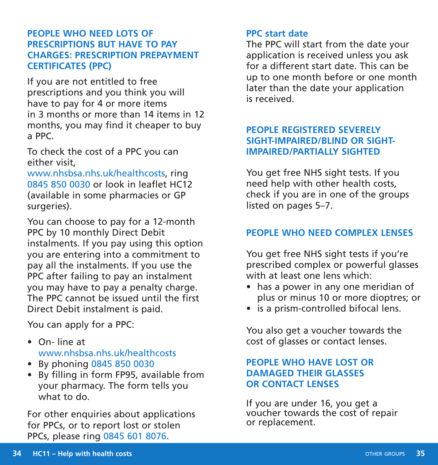#### **PEOPLE WHO NEED LOTS OF PRESCRIPTIONS BUT HAVE TO PAY CHARGES: PRESCRIPTION PREPAYMENT CERTIFICATES (PPC)**

If you are not entitled to free prescriptions and you think you will have to pay for 4 or more items in 3 months or more than 14 items in 12 months, you may find it cheaper to buy a PPC.

To check the cost of a PPC you can either visit,

www.nhsbsa.nhs.uk/healthcosts, ring 0845 850 0030 or look in leaflet HC12 (available in some pharmacies or GP surgeries).

You can choose to pay for a 12-month PPC by 10 monthly Direct Debit instalments. If you pay using this option you are entering into a commitment to pay all the instalments. If you use the PPC after failing to pay an instalment you may have to pay a penalty charge. The PPC cannot be issued until the first Direct Debit instalment is paid.

You can apply for a PPC:

- On- line at www.nhsbsa.nhs.uk/healthcosts
- By phoning 0845 850 0030
- By filling in form FP95, available from your pharmacy. The form tells you what to do.

For other enquiries about applications for PPCs, or to report lost or stolen PPCs, please ring 0845 601 8076.

### **PPC start date**

The PPC will start from the date your application is received unless you ask for a different start date. This can be up to one month before or one month later than the date your application is received.

# **PEOPLE REGISTERED SEVERELY SIGHT-IMPAIRED/BLIND OR SIGHT-IMPAIRED/PARTIALLY SIGHTED**

You get free NHS sight tests. If you need help with other health costs, check if you are in one of the groups listed on pages 5–7.

# **PEOPLE WHO NEED COMPLEX LENSES**

You get free NHS sight tests if you're prescribed complex or powerful glasses with at least one lens which:

- has a power in any one meridian of plus or minus 10 or more dioptres; or
- is a prism-controlled bifocal lens.

You also get a voucher towards the cost of glasses or contact lenses.

# **PEOPLE WHO HAVE LOST OR DAMAGED THEIR GLASSES OR CONTACT LENSES**

If you are under 16, you get a voucher towards the cost of repair or replacement.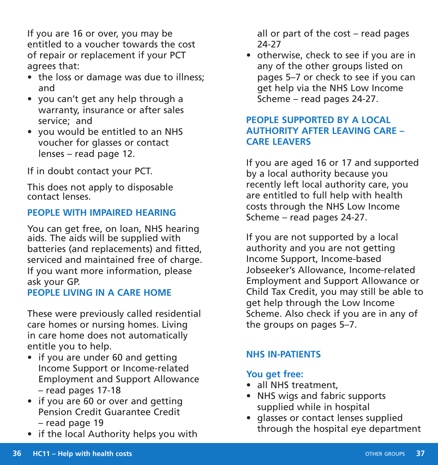If you are 16 or over, you may be entitled to a voucher towards the cost of repair or replacement if your PCT agrees that:

- the loss or damage was due to illness; and
- you can't get any help through a warranty, insurance or after sales service; and
- you would be entitled to an NHS voucher for glasses or contact lenses – read page 12.

If in doubt contact your PCT.

This does not apply to disposable contact lenses.

# **PEOPLE WITH IMPAIRED HEARING**

You can get free, on loan, NHS hearing aids. The aids will be supplied with batteries (and replacements) and fitted, serviced and maintained free of charge. If you want more information, please ask your GP. **PEOPLE LIVING IN A CARE HOME**

These were previously called residential care homes or nursing homes. Living in care home does not automatically entitle you to help.

- if you are under 60 and getting Income Support or Income-related Employment and Support Allowance – read pages 17-18
- if you are 60 or over and getting Pension Credit Guarantee Credit – read page 19
- if the local Authority helps you with

all or part of the cost – read pages 24-27

• otherwise, check to see if you are in any of the other groups listed on pages 5–7 or check to see if you can get help via the NHS Low Income Scheme – read pages 24-27.

# **PEOPLE SUPPORTED BY A LOCAL AUTHORITY AFTER LEAVING CARE – CARE LEAVERS**

If you are aged 16 or 17 and supported by a local authority because you recently left local authority care, you are entitled to full help with health costs through the NHS Low Income Scheme – read pages 24-27.

If you are not supported by a local authority and you are not getting Income Support, Income-based Jobseeker's Allowance, Income-related Employment and Support Allowance or Child Tax Credit, you may still be able to get help through the Low Income Scheme. Also check if you are in any of the groups on pages 5–7.

### **NHS IN-PATIENTS**

# **You get free:**

- all NHS treatment,
- NHS wigs and fabric supports supplied while in hospital
- glasses or contact lenses supplied through the hospital eye department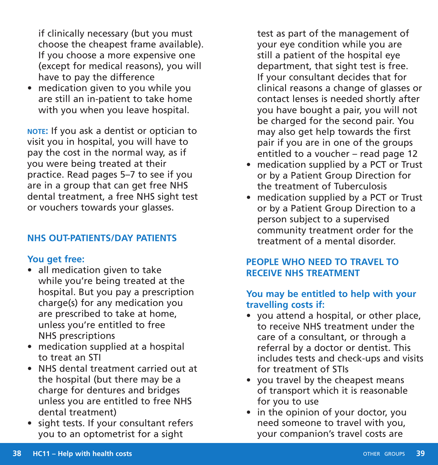**38 • HC11 – Help with health costs** OTHER GROUPS **CONSIDERED AT A RESIDENT CONSIDERATION** 

if clinically necessary (but you must choose the cheapest frame available). If you choose a more expensive one (except for medical reasons), you will have to pay the difference

• medication given to you while you are still an in-patient to take home with you when you leave hospital.

**NOTE:** If you ask a dentist or optician to visit you in hospital, you will have to pay the cost in the normal way, as if you were being treated at their practice. Read pages 5–7 to see if you are in a group that can get free NHS dental treatment, a free NHS sight test or vouchers towards your glasses.

# **NHS OUT-PATIENTS/DAY PATIENTS**

# **You get free:**

- all medication given to take while you're being treated at the hospital. But you pay a prescription charge(s) for any medication you are prescribed to take at home, unless you're entitled to free NHS prescriptions
- medication supplied at a hospital to treat an STI
- NHS dental treatment carried out at the hospital (but there may be a charge for dentures and bridges unless you are entitled to free NHS dental treatment)
- sight tests. If your consultant refers you to an optometrist for a sight

test as part of the management of your eye condition while you are still a patient of the hospital eye department, that sight test is free. If your consultant decides that for clinical reasons a change of glasses or contact lenses is needed shortly after you have bought a pair, you will not be charged for the second pair. You may also get help towards the first pair if you are in one of the groups entitled to a voucher – read page 12

- medication supplied by a PCT or Trust or by a Patient Group Direction for the treatment of Tuberculosis
- medication supplied by a PCT or Trust or by a Patient Group Direction to a person subject to a supervised community treatment order for the treatment of a mental disorder.

# **PEOPLE WHO NEED TO TRAVEL TO RECEIVE NHS TREATMENT**

# **You may be entitled to help with your travelling costs if:**

- you attend a hospital, or other place, to receive NHS treatment under the care of a consultant, or through a referral by a doctor or dentist. This includes tests and check-ups and visits for treatment of STIs
- you travel by the cheapest means of transport which it is reasonable for you to use
- in the opinion of your doctor, you need someone to travel with you, your companion's travel costs are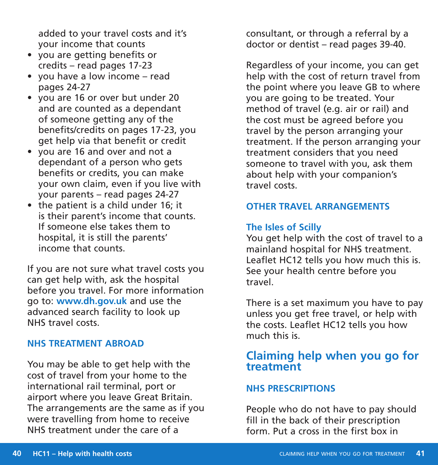added to your travel costs and it's your income that counts

- you are getting benefits or credits – read pages 17-23
- you have a low income read pages 24-27
- you are 16 or over but under 20 and are counted as a dependant of someone getting any of the benefits/credits on pages 17-23, you get help via that benefit or credit
- you are 16 and over and not a dependant of a person who gets benefits or credits, you can make your own claim, even if you live with your parents – read pages 24-27
- the patient is a child under 16; it is their parent's income that counts. If someone else takes them to hospital, it is still the parents' income that counts.

If you are not sure what travel costs you can get help with, ask the hospital before you travel. For more information go to: **www.dh.gov.uk** and use the advanced search facility to look up NHS travel costs.

### **NHS TREATMENT ABROAD**

You may be able to get help with the cost of travel from your home to the international rail terminal, port or airport where you leave Great Britain. The arrangements are the same as if you were travelling from home to receive NHS treatment under the care of a

consultant, or through a referral by a doctor or dentist – read pages 39-40.

Regardless of your income, you can get help with the cost of return travel from the point where you leave GB to where you are going to be treated. Your method of travel (e.g. air or rail) and the cost must be agreed before you travel by the person arranging your treatment. If the person arranging your treatment considers that you need someone to travel with you, ask them about help with your companion's travel costs.

#### **OTHER TRAVEL ARRANGEMENTS**

### **The Isles of Scilly**

You get help with the cost of travel to a mainland hospital for NHS treatment. Leaflet HC12 tells you how much this is. See your health centre before you travel.

There is a set maximum you have to pay unless you get free travel, or help with the costs. Leaflet HC12 tells you how much this is.

# **Claiming help when you go for treatment**

### **NHS PRESCRIPTIONS**

People who do not have to pay should fill in the back of their prescription form. Put a cross in the first box in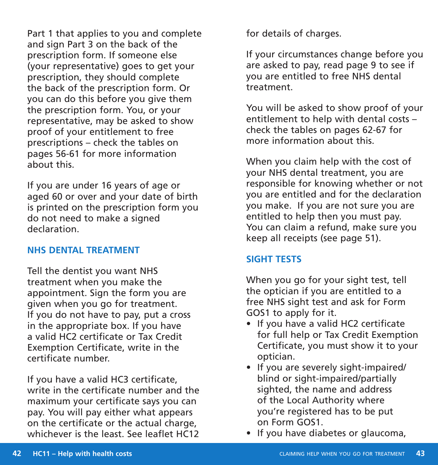Part 1 that applies to you and complete and sign Part 3 on the back of the prescription form. If someone else (your representative) goes to get your prescription, they should complete the back of the prescription form. Or you can do this before you give them the prescription form. You, or your representative, may be asked to show proof of your entitlement to free prescriptions – check the tables on pages 56-61 for more information about this.

If you are under 16 years of age or aged 60 or over and your date of birth is printed on the prescription form you do not need to make a signed declaration.

### **NHS DENTAL TREATMENT**

Tell the dentist you want NHS treatment when you make the appointment. Sign the form you are given when you go for treatment. If you do not have to pay, put a cross in the appropriate box. If you have a valid HC2 certificate or Tax Credit Exemption Certificate, write in the certificate number.

If you have a valid HC3 certificate, write in the certificate number and the maximum your certificate says you can pay. You will pay either what appears on the certificate or the actual charge, whichever is the least. See leaflet HC12

for details of charges.

If your circumstances change before you are asked to pay, read page 9 to see if you are entitled to free NHS dental treatment.

You will be asked to show proof of your entitlement to help with dental costs – check the tables on pages 62-67 for more information about this.

When you claim help with the cost of your NHS dental treatment, you are responsible for knowing whether or not you are entitled and for the declaration you make. If you are not sure you are entitled to help then you must pay. You can claim a refund, make sure you keep all receipts (see page 51).

### **SIGHT TESTS**

When you go for your sight test, tell the optician if you are entitled to a free NHS sight test and ask for Form GOS1 to apply for it.

- If you have a valid HC2 certificate for full help or Tax Credit Exemption Certificate, you must show it to your optician.
- If you are severely sight-impaired/ blind or sight-impaired/partially sighted, the name and address of the Local Authority where you're registered has to be put on Form GOS1.
- If you have diabetes or glaucoma,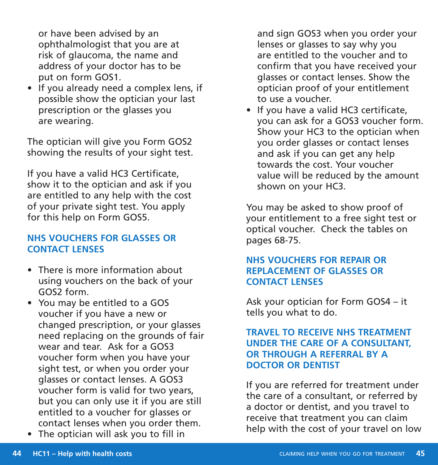or have been advised by an ophthalmologist that you are at risk of glaucoma, the name and address of your doctor has to be put on form GOS1.

• If you already need a complex lens, if possible show the optician your last prescription or the glasses you are wearing.

The optician will give you Form GOS2 showing the results of your sight test.

If you have a valid HC3 Certificate, show it to the optician and ask if you are entitled to any help with the cost of your private sight test. You apply for this help on Form GOS5.

# **NHS VOUCHERS FOR GLASSES OR CONTACT LENSES**

- There is more information about using vouchers on the back of your GOS2 form.
- You may be entitled to a GOS voucher if you have a new or changed prescription, or your glasses need replacing on the grounds of fair wear and tear. Ask for a GOS3 voucher form when you have your sight test, or when you order your glasses or contact lenses. A GOS3 voucher form is valid for two years, but you can only use it if you are still entitled to a voucher for glasses or contact lenses when you order them.
- The optician will ask you to fill in

and sign GOS3 when you order your lenses or glasses to say why you are entitled to the voucher and to confirm that you have received your glasses or contact lenses. Show the optician proof of your entitlement to use a voucher.

• If you have a valid HC3 certificate, you can ask for a GOS3 voucher form. Show your HC3 to the optician when you order glasses or contact lenses and ask if you can get any help towards the cost. Your voucher value will be reduced by the amount shown on your HC3.

You may be asked to show proof of your entitlement to a free sight test or optical voucher. Check the tables on pages 68-75.

### **NHS VOUCHERS FOR REPAIR OR REPLACEMENT OF GLASSES OR CONTACT LENSES**

Ask your optician for Form GOS4 – it tells you what to do.

# **TRAVEL TO RECEIVE NHS TREATMENT UNDER THE CARE OF A CONSULTANT, OR THROUGH A REFERRAL BY A DOCTOR OR DENTIST**

If you are referred for treatment under the care of a consultant, or referred by a doctor or dentist, and you travel to receive that treatment you can claim help with the cost of your travel on low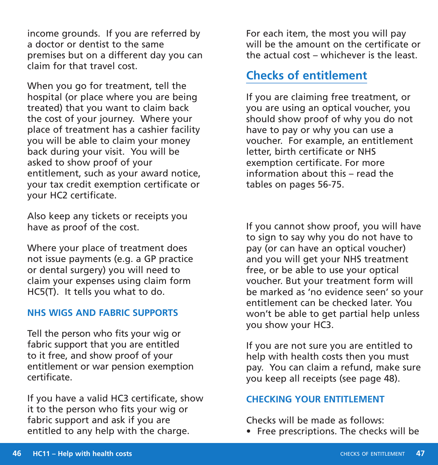income grounds. If you are referred by a doctor or dentist to the same premises but on a different day you can claim for that travel cost.

When you go for treatment, tell the hospital (or place where you are being treated) that you want to claim back the cost of your journey. Where your place of treatment has a cashier facility you will be able to claim your money back during your visit. You will be asked to show proof of your entitlement, such as your award notice, your tax credit exemption certificate or your HC2 certificate.

Also keep any tickets or receipts you have as proof of the cost.

Where your place of treatment does not issue payments (e.g. a GP practice or dental surgery) you will need to claim your expenses using claim form HC5(T). It tells you what to do.

#### **NHS WIGS AND FABRIC SUPPORTS**

Tell the person who fits your wig or fabric support that you are entitled to it free, and show proof of your entitlement or war pension exemption certificate.

If you have a valid HC3 certificate, show it to the person who fits your wig or fabric support and ask if you are entitled to any help with the charge.

For each item, the most you will pay will be the amount on the certificate or the actual cost – whichever is the least.

# **Checks of entitlement**

If you are claiming free treatment, or you are using an optical voucher, you should show proof of why you do not have to pay or why you can use a voucher. For example, an entitlement letter, birth certificate or NHS exemption certificate. For more information about this – read the tables on pages 56-75.

If you cannot show proof, you will have to sign to say why you do not have to pay (or can have an optical voucher) and you will get your NHS treatment free, or be able to use your optical voucher. But your treatment form will be marked as 'no evidence seen' so your entitlement can be checked later. You won't be able to get partial help unless you show your HC3.

If you are not sure you are entitled to help with health costs then you must pay. You can claim a refund, make sure you keep all receipts (see page 48).

#### **CHECKING YOUR ENTITLEMENT**

Checks will be made as follows:

• Free prescriptions. The checks will be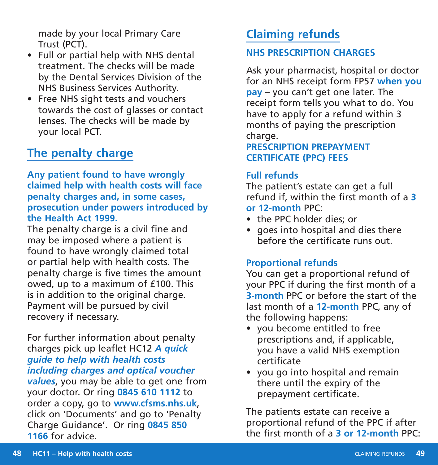made by your local Primary Care Trust (PCT).

- Full or partial help with NHS dental treatment. The checks will be made by the Dental Services Division of the NHS Business Services Authority.
- Free NHS sight tests and vouchers towards the cost of glasses or contact lenses. The checks will be made by your local PCT.

# **The penalty charge**

**Any patient found to have wrongly claimed help with health costs will face penalty charges and, in some cases, prosecution under powers introduced by the Health Act 1999.**

The penalty charge is a civil fine and may be imposed where a patient is found to have wrongly claimed total or partial help with health costs. The penalty charge is five times the amount owed, up to a maximum of £100. This is in addition to the original charge. Payment will be pursued by civil recovery if necessary.

For further information about penalty charges pick up leaflet HC12 *A quick guide to help with health costs including charges and optical voucher values*, you may be able to get one from your doctor. Or ring **0845 610 1112** to order a copy, go to **www.cfsms.nhs.uk**, click on 'Documents' and go to 'Penalty Charge Guidance'. Or ring **0845 850 1166** for advice.

# **Claiming refunds**

# **NHS PRESCRIPTION CHARGES**

Ask your pharmacist, hospital or doctor for an NHS receipt form FP57 **when you pay** – you can't get one later. The receipt form tells you what to do. You have to apply for a refund within 3 months of paying the prescription charge.

# **PRESCRIPTION PREPAYMENT CERTIFICATE (PPC) FEES**

# **Full refunds**

The patient's estate can get a full refund if, within the first month of a **3 or 12-month** PPC:

- the PPC holder dies; or
- goes into hospital and dies there before the certificate runs out.

# **Proportional refunds**

You can get a proportional refund of your PPC if during the first month of a **3-month** PPC or before the start of the last month of a **12-month** PPC, any of the following happens:

- you become entitled to free prescriptions and, if applicable, you have a valid NHS exemption certificate
- you go into hospital and remain there until the expiry of the prepayment certificate.

The patients estate can receive a proportional refund of the PPC if after the first month of a **3 or 12-month** PPC: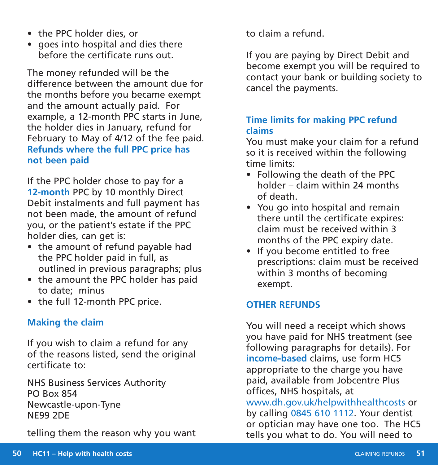- the PPC holder dies, or
- goes into hospital and dies there before the certificate runs out.

The money refunded will be the difference between the amount due for the months before you became exempt and the amount actually paid. For example, a 12-month PPC starts in June, the holder dies in January, refund for February to May of 4/12 of the fee paid. **Refunds where the full PPC price has not been paid**

If the PPC holder chose to pay for a **12-month** PPC by 10 monthly Direct Debit instalments and full payment has not been made, the amount of refund you, or the patient's estate if the PPC holder dies, can get is:

- the amount of refund payable had the PPC holder paid in full, as outlined in previous paragraphs; plus
- the amount the PPC holder has paid to date; minus
- the full 12-month PPC price.

# **Making the claim**

If you wish to claim a refund for any of the reasons listed, send the original certificate to:

NHS Business Services Authority PO Box 854 Newcastle-upon-Tyne NE99 2DE

telling them the reason why you want

to claim a refund.

If you are paying by Direct Debit and become exempt you will be required to contact your bank or building society to cancel the payments.

# **Time limits for making PPC refund claims**

You must make your claim for a refund so it is received within the following time limits:

- Following the death of the PPC holder – claim within 24 months of death.
- You go into hospital and remain there until the certificate expires: claim must be received within 3 months of the PPC expiry date.
- If you become entitled to free prescriptions: claim must be received within 3 months of becoming exempt.

# **OTHER REFUNDS**

You will need a receipt which shows you have paid for NHS treatment (see following paragraphs for details). For **income-based** claims, use form HC5 appropriate to the charge you have paid, available from Jobcentre Plus offices, NHS hospitals, at www.dh.gov.uk/helpwithhealthcosts or by calling 0845 610 1112. Your dentist or optician may have one too. The HC5 tells you what to do. You will need to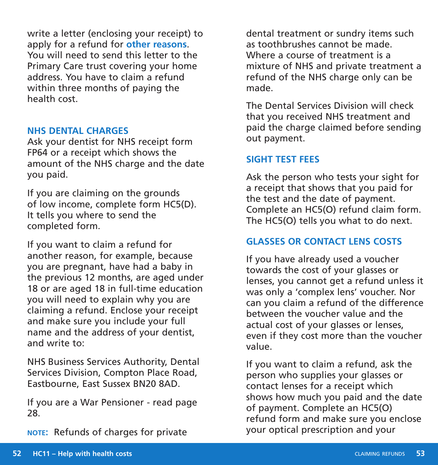write a letter (enclosing your receipt) to apply for a refund for **other reasons**. You will need to send this letter to the Primary Care trust covering your home address. You have to claim a refund within three months of paying the health cost.

#### **NHS DENTAL CHARGES**

Ask your dentist for NHS receipt form FP64 or a receipt which shows the amount of the NHS charge and the date you paid.

If you are claiming on the grounds of low income, complete form HC5(D). It tells you where to send the completed form.

If you want to claim a refund for another reason, for example, because you are pregnant, have had a baby in the previous 12 months, are aged under 18 or are aged 18 in full-time education you will need to explain why you are claiming a refund. Enclose your receipt and make sure you include your full name and the address of your dentist, and write to:

NHS Business Services Authority, Dental Services Division, Compton Place Road, Eastbourne, East Sussex BN20 8AD.

If you are a War Pensioner - read page 28.

**NOTE:** Refunds of charges for private

dental treatment or sundry items such as toothbrushes cannot be made. Where a course of treatment is a mixture of NHS and private treatment a refund of the NHS charge only can be made.

The Dental Services Division will check that you received NHS treatment and paid the charge claimed before sending out payment.

#### **SIGHT TEST FEES**

Ask the person who tests your sight for a receipt that shows that you paid for the test and the date of payment. Complete an HC5(O) refund claim form. The HC5(O) tells you what to do next.

#### **GLASSES OR CONTACT LENS COSTS**

If you have already used a voucher towards the cost of your glasses or lenses, you cannot get a refund unless it was only a 'complex lens' voucher. Nor can you claim a refund of the difference between the voucher value and the actual cost of your glasses or lenses, even if they cost more than the voucher value.

If you want to claim a refund, ask the person who supplies your glasses or contact lenses for a receipt which shows how much you paid and the date of payment. Complete an HC5(O) refund form and make sure you enclose your optical prescription and your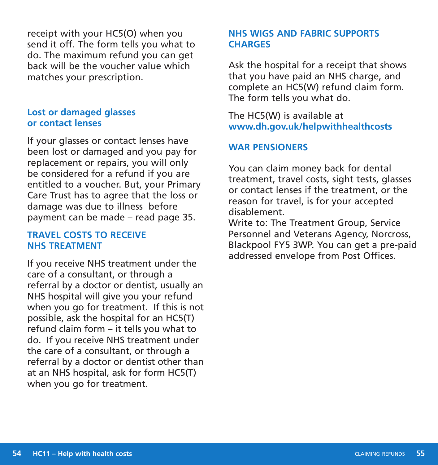receipt with your HC5(O) when you send it off. The form tells you what to do. The maximum refund you can get back will be the voucher value which matches your prescription.

#### **Lost or damaged glasses or contact lenses**

If your glasses or contact lenses have been lost or damaged and you pay for replacement or repairs, you will only be considered for a refund if you are entitled to a voucher. But, your Primary Care Trust has to agree that the loss or damage was due to illness before payment can be made – read page 35.

#### **TRAVEL COSTS TO RECEIVE NHS TREATMENT**

If you receive NHS treatment under the care of a consultant, or through a referral by a doctor or dentist, usually an NHS hospital will give you your refund when you go for treatment. If this is not possible, ask the hospital for an HC5(T) refund claim form – it tells you what to do. If you receive NHS treatment under the care of a consultant, or through a referral by a doctor or dentist other than at an NHS hospital, ask for form HC5(T) when you go for treatment.

### **NHS WIGS AND FABRIC SUPPORTS CHARGES**

Ask the hospital for a receipt that shows that you have paid an NHS charge, and complete an HC5(W) refund claim form. The form tells you what do.

The HC5(W) is available at **www.dh.gov.uk/helpwithhealthcosts**

#### **WAR PENSIONERS**

You can claim money back for dental treatment, travel costs, sight tests, glasses or contact lenses if the treatment, or the reason for travel, is for your accepted disablement.

Write to: The Treatment Group, Service Personnel and Veterans Agency, Norcross, Blackpool FY5 3WP. You can get a pre-paid addressed envelope from Post Offices.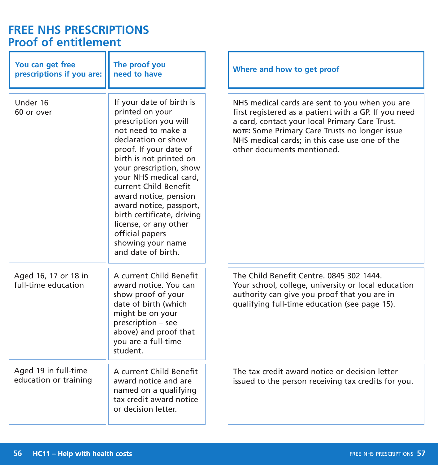# **FREE NHS PRESCRIPTIONS Proof of entitlement**

| You can get free<br>prescriptions if you are: | The proof you<br>need to have                                                                                                                                                                                                                                                                                                                                                                                                 | Where and how to get proof                                                                                                                                                                                                                                                                 |
|-----------------------------------------------|-------------------------------------------------------------------------------------------------------------------------------------------------------------------------------------------------------------------------------------------------------------------------------------------------------------------------------------------------------------------------------------------------------------------------------|--------------------------------------------------------------------------------------------------------------------------------------------------------------------------------------------------------------------------------------------------------------------------------------------|
| Under 16<br>60 or over                        | If your date of birth is<br>printed on your<br>prescription you will<br>not need to make a<br>declaration or show<br>proof. If your date of<br>birth is not printed on<br>your prescription, show<br>your NHS medical card,<br>current Child Benefit<br>award notice, pension<br>award notice, passport,<br>birth certificate, driving<br>license, or any other<br>official papers<br>showing your name<br>and date of birth. | NHS medical cards are sent to you when you are<br>first registered as a patient with a GP. If you need<br>a card, contact your local Primary Care Trust.<br>NOTE: Some Primary Care Trusts no longer issue<br>NHS medical cards; in this case use one of the<br>other documents mentioned. |
| Aged 16, 17 or 18 in<br>full-time education   | A current Child Benefit<br>award notice. You can<br>show proof of your<br>date of birth (which<br>might be on your<br>prescription - see<br>above) and proof that<br>you are a full-time<br>student.                                                                                                                                                                                                                          | The Child Benefit Centre. 0845 302 1444.<br>Your school, college, university or local education<br>authority can give you proof that you are in<br>qualifying full-time education (see page 15).                                                                                           |
| Aged 19 in full-time<br>education or training | A current Child Benefit<br>award notice and are<br>named on a qualifying<br>tax credit award notice<br>or decision letter.                                                                                                                                                                                                                                                                                                    | The tax credit award notice or decision letter<br>issued to the person receiving tax credits for you.                                                                                                                                                                                      |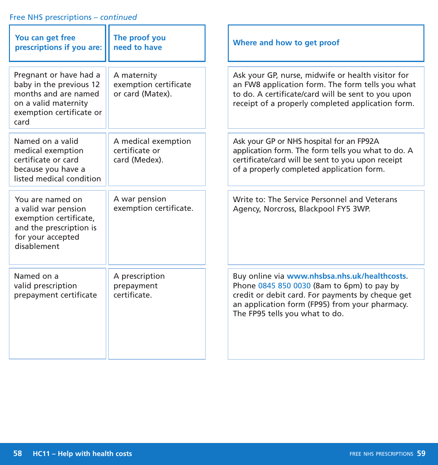#### Free NHS prescriptions – *continued*

| You can get free<br>prescriptions if you are:                                                                                         | The proof you<br>need to have                            | Where and how to get proof                                                                                                                                                                                                          |
|---------------------------------------------------------------------------------------------------------------------------------------|----------------------------------------------------------|-------------------------------------------------------------------------------------------------------------------------------------------------------------------------------------------------------------------------------------|
| Pregnant or have had a<br>baby in the previous 12<br>months and are named<br>on a valid maternity<br>exemption certificate or<br>card | A maternity<br>exemption certificate<br>or card (Matex). | Ask your GP, nurse, midwife or health visitor for<br>an FW8 application form. The form tells you what<br>to do. A certificate/card will be sent to you upon<br>receipt of a properly completed application form.                    |
| Named on a valid<br>medical exemption<br>certificate or card<br>because you have a<br>listed medical condition                        | A medical exemption<br>certificate or<br>card (Medex).   | Ask your GP or NHS hospital for an FP92A<br>application form. The form tells you what to do. A<br>certificate/card will be sent to you upon receipt<br>of a properly completed application form.                                    |
| You are named on<br>a valid war pension<br>exemption certificate,<br>and the prescription is<br>for your accepted<br>disablement      | A war pension<br>exemption certificate.                  | Write to: The Service Personnel and Veterans<br>Agency, Norcross, Blackpool FY5 3WP.                                                                                                                                                |
| Named on a<br>valid prescription<br>prepayment certificate                                                                            | A prescription<br>prepayment<br>certificate.             | Buy online via www.nhsbsa.nhs.uk/healthcosts.<br>Phone 0845 850 0030 (8am to 6pm) to pay by<br>credit or debit card. For payments by cheque get<br>an application form (FP95) from your pharmacy.<br>The FP95 tells you what to do. |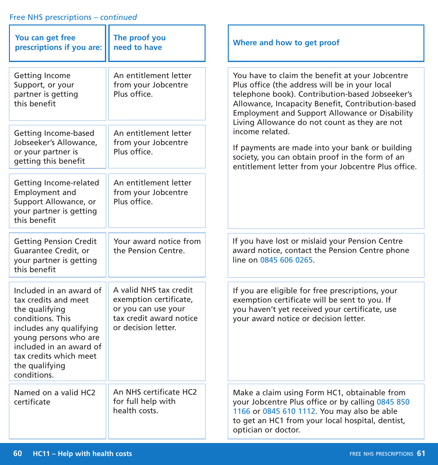#### Free NHS prescriptions – *continued*

| You can get free<br>prescriptions if you are:                                                                                                                                                                                   | The proof you<br>need to have                                                                                             | Where and how to get proof                                                                                                                                                                                                                                                                                          |
|---------------------------------------------------------------------------------------------------------------------------------------------------------------------------------------------------------------------------------|---------------------------------------------------------------------------------------------------------------------------|---------------------------------------------------------------------------------------------------------------------------------------------------------------------------------------------------------------------------------------------------------------------------------------------------------------------|
| Getting Income<br>Support, or your<br>partner is getting<br>this benefit                                                                                                                                                        | An entitlement letter<br>from your Jobcentre<br>Plus office.                                                              | You have to claim the benefit at your Jobcentre<br>Plus office (the address will be in your local<br>telephone book). Contribution-based Jobseeker's<br>Allowance, Incapacity Benefit, Contribution-based<br><b>Employment and Support Allowance or Disability</b><br>Living Allowance do not count as they are not |
| Getting Income-based<br>Jobseeker's Allowance,<br>or your partner is<br>getting this benefit                                                                                                                                    | An entitlement letter<br>from your Jobcentre<br>Plus office.                                                              | income related.<br>If payments are made into your bank or building<br>society, you can obtain proof in the form of an<br>entitlement letter from your Jobcentre Plus office.                                                                                                                                        |
| <b>Getting Income-related</b><br>Employment and<br>Support Allowance, or<br>your partner is getting<br>this benefit                                                                                                             | An entitlement letter<br>from your Jobcentre<br>Plus office.                                                              |                                                                                                                                                                                                                                                                                                                     |
| <b>Getting Pension Credit</b><br>Guarantee Credit, or<br>your partner is getting<br>this benefit                                                                                                                                | Your award notice from<br>the Pension Centre.                                                                             | If you have lost or mislaid your Pension Centre<br>award notice, contact the Pension Centre phone<br>line on 0845 606 0265.                                                                                                                                                                                         |
| Included in an award of<br>tax credits and meet<br>the qualifying<br>conditions. This<br>includes any qualifying<br>young persons who are<br>included in an award of<br>tax credits which meet<br>the qualifying<br>conditions. | A valid NHS tax credit<br>exemption certificate,<br>or you can use your<br>tax credit award notice<br>or decision letter. | If you are eligible for free prescriptions, your<br>exemption certificate will be sent to you. If<br>you haven't yet received your certificate, use<br>your award notice or decision letter.                                                                                                                        |
| Named on a valid HC2<br>certificate                                                                                                                                                                                             | An NHS certificate HC2<br>for full help with<br>health costs.                                                             | Make a claim using Form HC1, obtainable from<br>your Jobcentre Plus office or by calling 0845 850<br>1166 or 0845 610 1112. You may also be able<br>to get an HC1 from your local hospital, dentist,<br>optician or doctor.                                                                                         |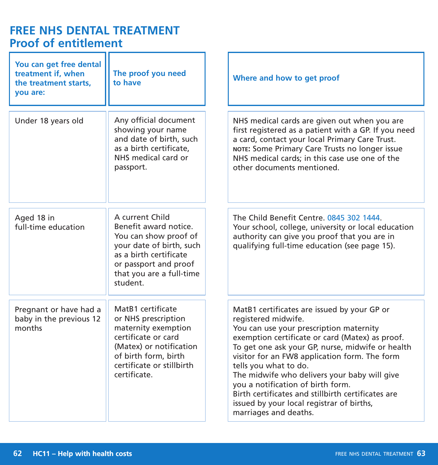# **FREE NHS DENTAL TREATMENT Proof of entitlement**

| You can get free dental<br>treatment if, when<br>the treatment starts,<br>you are: | The proof you need<br>to have                                                                                                                                                            | Where and how to get proof                                                                                                                                                                                                                                                                                                                                                                                                                                                                                      |
|------------------------------------------------------------------------------------|------------------------------------------------------------------------------------------------------------------------------------------------------------------------------------------|-----------------------------------------------------------------------------------------------------------------------------------------------------------------------------------------------------------------------------------------------------------------------------------------------------------------------------------------------------------------------------------------------------------------------------------------------------------------------------------------------------------------|
| Under 18 years old                                                                 | Any official document<br>showing your name<br>and date of birth, such<br>as a birth certificate,<br>NHS medical card or<br>passport.                                                     | NHS medical cards are given out when you are<br>first registered as a patient with a GP. If you need<br>a card, contact your local Primary Care Trust.<br>NOTE: Some Primary Care Trusts no longer issue<br>NHS medical cards; in this case use one of the<br>other documents mentioned.                                                                                                                                                                                                                        |
| Aged 18 in<br>full-time education                                                  | A current Child<br>Benefit award notice.<br>You can show proof of<br>your date of birth, such<br>as a birth certificate<br>or passport and proof<br>that you are a full-time<br>student. | The Child Benefit Centre, 0845 302 1444.<br>Your school, college, university or local education<br>authority can give you proof that you are in<br>qualifying full-time education (see page 15).                                                                                                                                                                                                                                                                                                                |
| Pregnant or have had a<br>baby in the previous 12<br>months                        | MatB1 certificate<br>or NHS prescription<br>maternity exemption<br>certificate or card<br>(Matex) or notification<br>of birth form, birth<br>certificate or stillbirth<br>certificate.   | MatB1 certificates are issued by your GP or<br>registered midwife.<br>You can use your prescription maternity<br>exemption certificate or card (Matex) as proof.<br>To get one ask your GP, nurse, midwife or health<br>visitor for an FW8 application form. The form<br>tells you what to do.<br>The midwife who delivers your baby will give<br>you a notification of birth form.<br>Birth certificates and stillbirth certificates are<br>issued by your local registrar of births,<br>marriages and deaths. |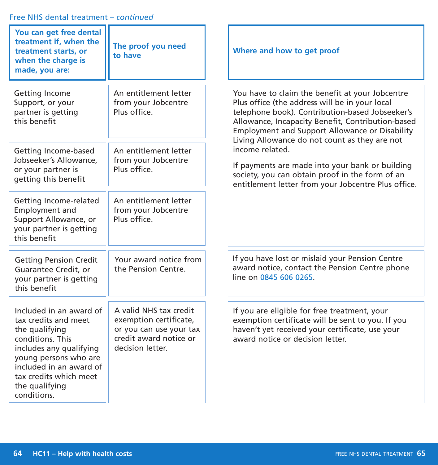#### Free NHS dental treatment – *continued*

| You can get free dental<br>treatment if, when the<br>treatment starts, or<br>when the charge is<br>made, you are:                                                                                                               | The proof you need<br>to have                                                                                             | Where and how to get proof                                                                                                                                                                                                                                         |
|---------------------------------------------------------------------------------------------------------------------------------------------------------------------------------------------------------------------------------|---------------------------------------------------------------------------------------------------------------------------|--------------------------------------------------------------------------------------------------------------------------------------------------------------------------------------------------------------------------------------------------------------------|
| Getting Income<br>Support, or your<br>partner is getting<br>this benefit                                                                                                                                                        | An entitlement letter<br>from your Jobcentre<br>Plus office.                                                              | You have to claim the benefit at your Jobcentre<br>Plus office (the address will be in your local<br>telephone book). Contribution-based Jobseeker's<br>Allowance, Incapacity Benefit, Contribution-based<br><b>Employment and Support Allowance or Disability</b> |
| Getting Income-based<br>Jobseeker's Allowance,<br>or your partner is<br>getting this benefit                                                                                                                                    | An entitlement letter<br>from your Jobcentre<br>Plus office.                                                              | Living Allowance do not count as they are not<br>income related.<br>If payments are made into your bank or building<br>society, you can obtain proof in the form of an<br>entitlement letter from your Jobcentre Plus office.                                      |
| Getting Income-related<br>Employment and<br>Support Allowance, or<br>your partner is getting<br>this benefit                                                                                                                    | An entitlement letter<br>from your Jobcentre<br>Plus office.                                                              |                                                                                                                                                                                                                                                                    |
| <b>Getting Pension Credit</b><br>Guarantee Credit, or<br>your partner is getting<br>this benefit                                                                                                                                | Your award notice from<br>the Pension Centre.                                                                             | If you have lost or mislaid your Pension Centre<br>award notice, contact the Pension Centre phone<br>line on 0845 606 0265.                                                                                                                                        |
| Included in an award of<br>tax credits and meet<br>the qualifying<br>conditions. This<br>includes any qualifying<br>young persons who are<br>included in an award of<br>tax credits which meet<br>the qualifying<br>conditions. | A valid NHS tax credit<br>exemption certificate,<br>or you can use your tax<br>credit award notice or<br>decision letter. | If you are eligible for free treatment, your<br>exemption certificate will be sent to you. If you<br>haven't yet received your certificate, use your<br>award notice or decision letter.                                                                           |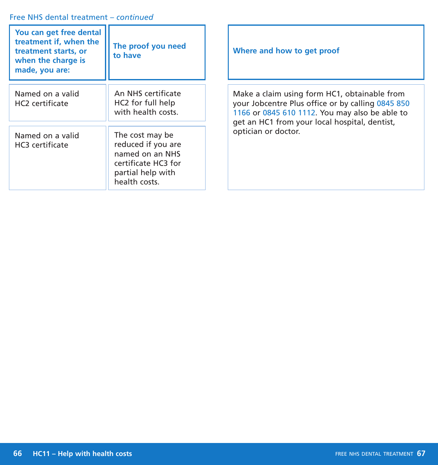#### Free NHS dental treatment – *continued*

| You can get free dental<br>treatment if, when the<br>treatment starts, or<br>when the charge is<br>made, you are: | The proof you need<br>to have                                                                                         |
|-------------------------------------------------------------------------------------------------------------------|-----------------------------------------------------------------------------------------------------------------------|
| Named on a valid<br><b>HC2</b> certificate                                                                        | An NHS certificate<br>HC2 for full help<br>with health costs                                                          |
| Named on a valid<br>HC3 certificate                                                                               | The cost may be<br>reduced if you are<br>named on an NHS<br>certificate HC3 for<br>partial help with<br>health costs. |

**Where and how to get proof**

Make a claim using form HC1, obtainable from your Jobcentre Plus office or by calling 0845 850 1166 or 0845 610 1112. You may also be able to get an HC1 from your local hospital, dentist, optician or doctor.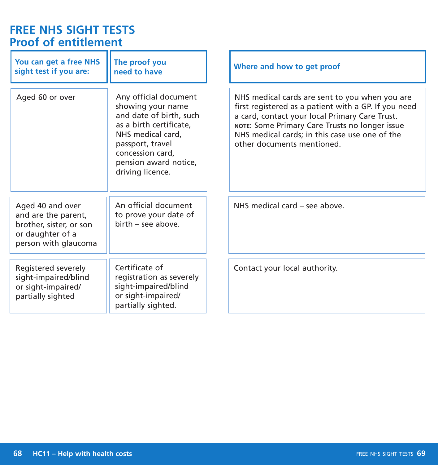# **FREE NHS SIGHT TESTS Proof of entitlement**

| You can get a free NHS<br>sight test if you are:                                                               | The proof you<br>need to have                                                                                                                                                                              | Where and how to get proof                                                                                                                                                                                                                                                                 |
|----------------------------------------------------------------------------------------------------------------|------------------------------------------------------------------------------------------------------------------------------------------------------------------------------------------------------------|--------------------------------------------------------------------------------------------------------------------------------------------------------------------------------------------------------------------------------------------------------------------------------------------|
| Aged 60 or over                                                                                                | Any official document<br>showing your name<br>and date of birth, such<br>as a birth certificate,<br>NHS medical card,<br>passport, travel<br>concession card,<br>pension award notice,<br>driving licence. | NHS medical cards are sent to you when you are<br>first registered as a patient with a GP. If you need<br>a card, contact your local Primary Care Trust.<br>NOTE: Some Primary Care Trusts no longer issue<br>NHS medical cards; in this case use one of the<br>other documents mentioned. |
| Aged 40 and over<br>and are the parent,<br>brother, sister, or son<br>or daughter of a<br>person with glaucoma | An official document<br>to prove your date of<br>birth – see above.                                                                                                                                        | NHS medical card – see above.                                                                                                                                                                                                                                                              |
| Registered severely<br>sight-impaired/blind<br>or sight-impaired/<br>partially sighted                         | Certificate of<br>registration as severely<br>sight-impaired/blind<br>or sight-impaired/<br>partially sighted.                                                                                             | Contact your local authority.                                                                                                                                                                                                                                                              |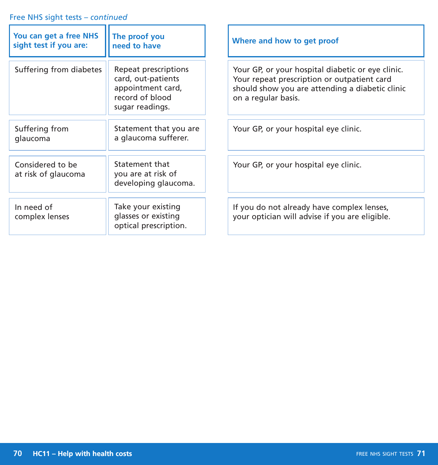# Free NHS sight tests – *continued*

| You can get a free NHS<br>sight test if you are: | The proof you<br>need to have                                                                         | Where and how to get proof                                                                                                                                                 |
|--------------------------------------------------|-------------------------------------------------------------------------------------------------------|----------------------------------------------------------------------------------------------------------------------------------------------------------------------------|
| Suffering from diabetes                          | Repeat prescriptions<br>card, out-patients<br>appointment card,<br>record of blood<br>sugar readings. | Your GP, or your hospital diabetic or eye clinic.<br>Your repeat prescription or outpatient card<br>should show you are attending a diabetic clinic<br>on a regular basis. |
| Suffering from<br>glaucoma                       | Statement that you are<br>a glaucoma sufferer.                                                        | Your GP, or your hospital eye clinic.                                                                                                                                      |
| Considered to be<br>at risk of glaucoma          | Statement that<br>you are at risk of<br>developing glaucoma.                                          | Your GP, or your hospital eye clinic.                                                                                                                                      |
| In need of<br>complex lenses                     | Take your existing<br>glasses or existing<br>optical prescription.                                    | If you do not already have complex lenses,<br>your optician will advise if you are eligible.                                                                               |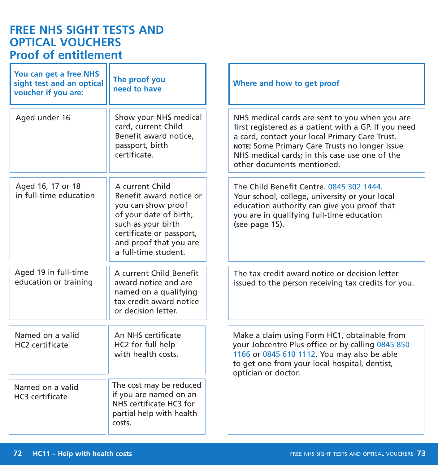# **FREE NHS SIGHT TESTS AND OPTICAL VOUCHERS Proof of entitlement**

| You can get a free NHS<br>sight test and an optical<br>voucher if you are: | The proof you<br>need to have                                                                                                                                                                  | Where and how to get proof                                                                                                                                                                                                                                                                 |
|----------------------------------------------------------------------------|------------------------------------------------------------------------------------------------------------------------------------------------------------------------------------------------|--------------------------------------------------------------------------------------------------------------------------------------------------------------------------------------------------------------------------------------------------------------------------------------------|
| Aged under 16                                                              | Show your NHS medical<br>card, current Child<br>Benefit award notice,<br>passport, birth<br>certificate.                                                                                       | NHS medical cards are sent to you when you are<br>first registered as a patient with a GP. If you need<br>a card, contact your local Primary Care Trust.<br>NOTE: Some Primary Care Trusts no longer issue<br>NHS medical cards; in this case use one of the<br>other documents mentioned. |
| Aged 16, 17 or 18<br>in full-time education                                | A current Child<br>Benefit award notice or<br>you can show proof<br>of your date of birth,<br>such as your birth<br>certificate or passport,<br>and proof that you are<br>a full-time student. | The Child Benefit Centre, 0845 302 1444.<br>Your school, college, university or your local<br>education authority can give you proof that<br>you are in qualifying full-time education<br>(see page 15).                                                                                   |
| Aged 19 in full-time<br>education or training                              | A current Child Benefit<br>award notice and are<br>named on a qualifying<br>tax credit award notice<br>or decision letter.                                                                     | The tax credit award notice or decision letter<br>issued to the person receiving tax credits for you.                                                                                                                                                                                      |
| Named on a valid<br>HC2 certificate                                        | An NHS certificate<br>HC2 for full help<br>with health costs.                                                                                                                                  | Make a claim using Form HC1, obtainable from<br>your Jobcentre Plus office or by calling 0845 850<br>1166 or 0845 610 1112. You may also be able<br>to get one from your local hospital, dentist,<br>optician or doctor.                                                                   |
| Named on a valid<br>HC3 certificate                                        | The cost may be reduced<br>if you are named on an<br>NHS certificate HC3 for<br>partial help with health<br>costs.                                                                             |                                                                                                                                                                                                                                                                                            |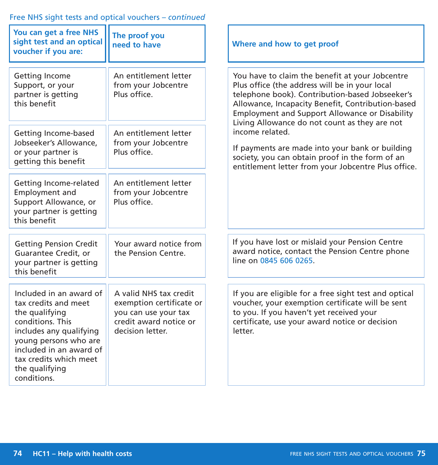#### Free NHS sight tests and optical vouchers – *continued*

| You can get a free NHS<br>sight test and an optical<br>voucher if you are:                                                                                                                                                      | The proof you<br>need to have                                                                                            | Where and how to get proof                                                                                                                                                                                                                                                                                          |
|---------------------------------------------------------------------------------------------------------------------------------------------------------------------------------------------------------------------------------|--------------------------------------------------------------------------------------------------------------------------|---------------------------------------------------------------------------------------------------------------------------------------------------------------------------------------------------------------------------------------------------------------------------------------------------------------------|
| Getting Income<br>Support, or your<br>partner is getting<br>this benefit                                                                                                                                                        | An entitlement letter<br>from your Jobcentre<br>Plus office.                                                             | You have to claim the benefit at your Jobcentre<br>Plus office (the address will be in your local<br>telephone book). Contribution-based Jobseeker's<br>Allowance, Incapacity Benefit, Contribution-based<br><b>Employment and Support Allowance or Disability</b><br>Living Allowance do not count as they are not |
| Getting Income-based<br>Jobseeker's Allowance,<br>or your partner is<br>getting this benefit                                                                                                                                    | An entitlement letter<br>from your Jobcentre<br>Plus office.                                                             | income related.<br>If payments are made into your bank or building<br>society, you can obtain proof in the form of an<br>entitlement letter from your Jobcentre Plus office.                                                                                                                                        |
| Getting Income-related<br>Employment and<br>Support Allowance, or<br>your partner is getting<br>this benefit                                                                                                                    | An entitlement letter<br>from your Jobcentre<br>Plus office.                                                             |                                                                                                                                                                                                                                                                                                                     |
| <b>Getting Pension Credit</b><br>Guarantee Credit, or<br>your partner is getting<br>this benefit                                                                                                                                | Your award notice from<br>the Pension Centre.                                                                            | If you have lost or mislaid your Pension Centre<br>award notice, contact the Pension Centre phone<br>line on 0845 606 0265.                                                                                                                                                                                         |
| Included in an award of<br>tax credits and meet<br>the qualifying<br>conditions. This<br>includes any qualifying<br>young persons who are<br>included in an award of<br>tax credits which meet<br>the qualifying<br>conditions. | A valid NHS tax credit<br>exemption certificate or<br>you can use your tax<br>credit award notice or<br>decision letter. | If you are eligible for a free sight test and optical<br>voucher, your exemption certificate will be sent<br>to you. If you haven't yet received your<br>certificate, use your award notice or decision<br>letter.                                                                                                  |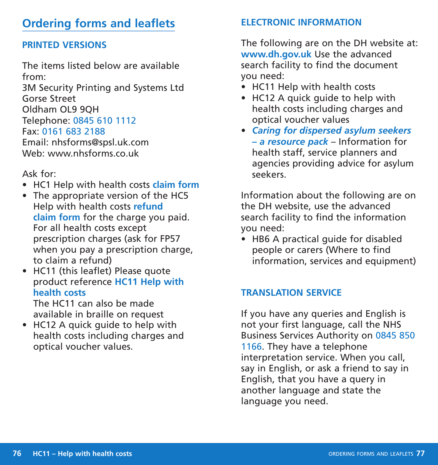# **Ordering forms and leaflets**

#### **PRINTED VERSIONS**

The items listed below are available from: 3M Security Printing and Systems Ltd Gorse Street Oldham OL9 9QH Telephone: 0845 610 1112 Fax: 0161 683 2188 Email: nhsforms@spsl.uk.com Web: www.nhsforms.co.uk

Ask for:

- HC1 Help with health costs **claim form**
- The appropriate version of the HC5 Help with health costs **refund claim form** for the charge you paid. For all health costs except prescription charges (ask for FP57 when you pay a prescription charge, to claim a refund)
- HC11 (this leaflet) Please quote product reference **HC11 Help with health costs**

The HC11 can also be made available in braille on request

• HC12 A quick guide to help with health costs including charges and optical voucher values.

#### **ELECTRONIC INFORMATION**

The following are on the DH website at: **www.dh.gov.uk** Use the advanced search facility to find the document you need:

- HC11 Help with health costs
- HC12 A quick guide to help with health costs including charges and optical voucher values
- *Caring for dispersed asylum seekers – a resource pack* – Information for health staff, service planners and agencies providing advice for asylum seekers.

Information about the following are on the DH website, use the advanced search facility to find the information you need:

• HB6 A practical guide for disabled people or carers (Where to find information, services and equipment)

### **TRANSLATION SERVICE**

If you have any queries and English is not your first language, call the NHS Business Services Authority on 0845 850 1166. They have a telephone interpretation service. When you call, say in English, or ask a friend to say in English, that you have a query in another language and state the language you need.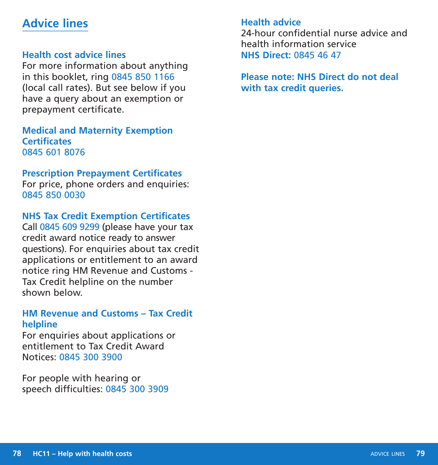# **Advice lines**

#### **Health cost advice lines**

For more information about anything in this booklet, ring 0845 850 1166 (local call rates). But see below if you have a query about an exemption or prepayment certificate.

#### **Medical and Maternity Exemption Certificates** 0845 601 8076

#### **Prescription Prepayment Certificates**

For price, phone orders and enquiries: 0845 850 0030

#### **NHS Tax Credit Exemption Certificates**

Call 0845 609 9299 (please have your tax credit award notice ready to answer questions). For enquiries about tax credit applications or entitlement to an award notice ring HM Revenue and Customs - Tax Credit helpline on the number shown below.

#### **HM Revenue and Customs – Tax Credit helpline**

For enquiries about applications or entitlement to Tax Credit Award Notices: 0845 300 3900

For people with hearing or speech difficulties: 0845 300 3909

#### **Health advice**

24-hour confidential nurse advice and health information service **NHS Direct:** 0845 46 47

**Please note: NHS Direct do not deal with tax credit queries.**